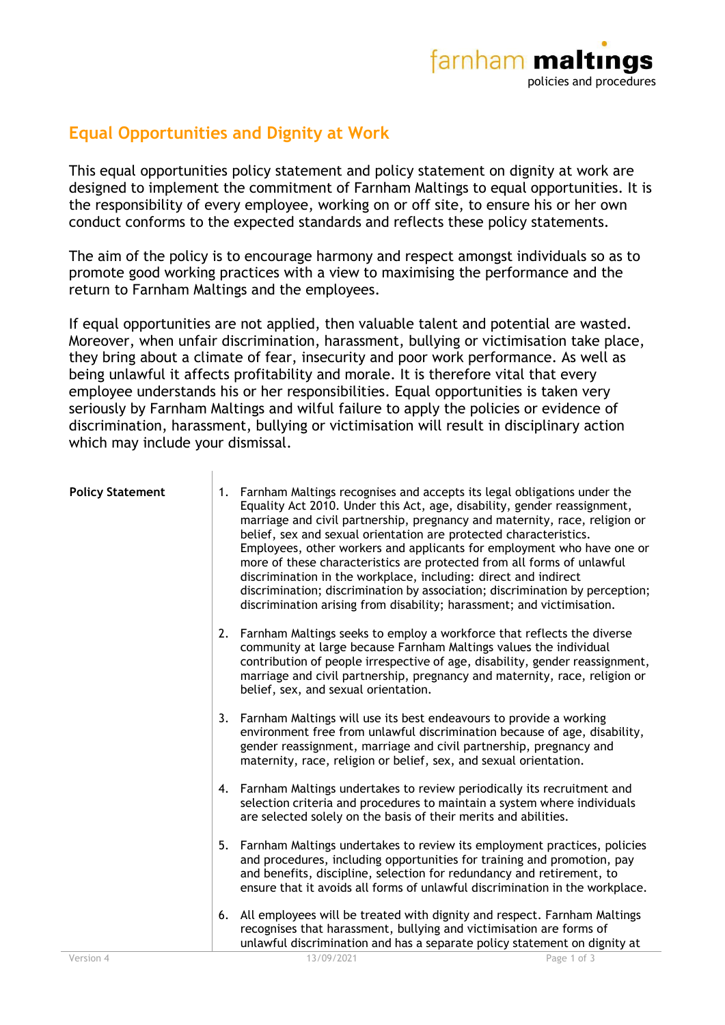

## **Equal Opportunities and Dignity at Work**

This equal opportunities policy statement and policy statement on dignity at work are designed to implement the commitment of Farnham Maltings to equal opportunities. It is the responsibility of every employee, working on or off site, to ensure his or her own conduct conforms to the expected standards and reflects these policy statements.

The aim of the policy is to encourage harmony and respect amongst individuals so as to promote good working practices with a view to maximising the performance and the return to Farnham Maltings and the employees.

If equal opportunities are not applied, then valuable talent and potential are wasted. Moreover, when unfair discrimination, harassment, bullying or victimisation take place, they bring about a climate of fear, insecurity and poor work performance. As well as being unlawful it affects profitability and morale. It is therefore vital that every employee understands his or her responsibilities. Equal opportunities is taken very seriously by Farnham Maltings and wilful failure to apply the policies or evidence of discrimination, harassment, bullying or victimisation will result in disciplinary action which may include your dismissal.

| <b>Policy Statement</b> | 1. | Farnham Maltings recognises and accepts its legal obligations under the<br>Equality Act 2010. Under this Act, age, disability, gender reassignment,<br>marriage and civil partnership, pregnancy and maternity, race, religion or<br>belief, sex and sexual orientation are protected characteristics.<br>Employees, other workers and applicants for employment who have one or<br>more of these characteristics are protected from all forms of unlawful<br>discrimination in the workplace, including: direct and indirect<br>discrimination; discrimination by association; discrimination by perception;<br>discrimination arising from disability; harassment; and victimisation. |             |
|-------------------------|----|-----------------------------------------------------------------------------------------------------------------------------------------------------------------------------------------------------------------------------------------------------------------------------------------------------------------------------------------------------------------------------------------------------------------------------------------------------------------------------------------------------------------------------------------------------------------------------------------------------------------------------------------------------------------------------------------|-------------|
|                         | 2. | Farnham Maltings seeks to employ a workforce that reflects the diverse<br>community at large because Farnham Maltings values the individual<br>contribution of people irrespective of age, disability, gender reassignment,<br>marriage and civil partnership, pregnancy and maternity, race, religion or<br>belief, sex, and sexual orientation.                                                                                                                                                                                                                                                                                                                                       |             |
|                         | 3. | Farnham Maltings will use its best endeavours to provide a working<br>environment free from unlawful discrimination because of age, disability,<br>gender reassignment, marriage and civil partnership, pregnancy and<br>maternity, race, religion or belief, sex, and sexual orientation.                                                                                                                                                                                                                                                                                                                                                                                              |             |
|                         |    | 4. Farnham Maltings undertakes to review periodically its recruitment and<br>selection criteria and procedures to maintain a system where individuals<br>are selected solely on the basis of their merits and abilities.                                                                                                                                                                                                                                                                                                                                                                                                                                                                |             |
|                         | 5. | Farnham Maltings undertakes to review its employment practices, policies<br>and procedures, including opportunities for training and promotion, pay<br>and benefits, discipline, selection for redundancy and retirement, to<br>ensure that it avoids all forms of unlawful discrimination in the workplace.                                                                                                                                                                                                                                                                                                                                                                            |             |
|                         | 6. | All employees will be treated with dignity and respect. Farnham Maltings<br>recognises that harassment, bullying and victimisation are forms of<br>unlawful discrimination and has a separate policy statement on dignity at                                                                                                                                                                                                                                                                                                                                                                                                                                                            |             |
| Version 4               |    | 13/09/2021                                                                                                                                                                                                                                                                                                                                                                                                                                                                                                                                                                                                                                                                              | Page 1 of 3 |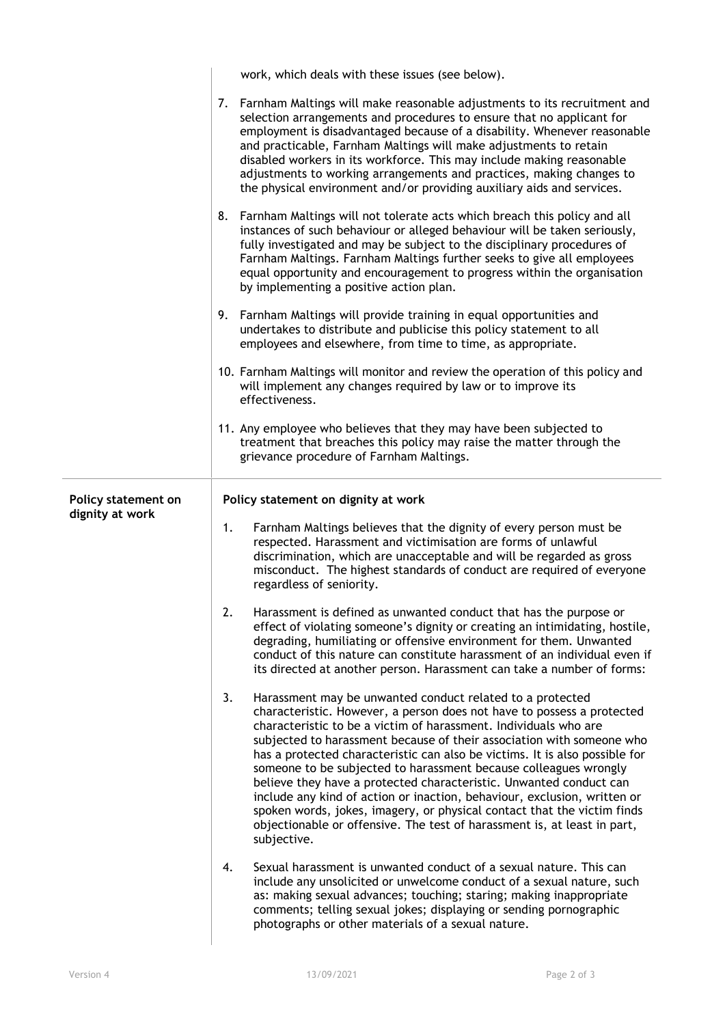|                     | work, which deals with these issues (see below).                                                                                                                                                                                                                                                                                                                                                                                                                                                                                                                                                                                                                                                                                                                  |  |  |
|---------------------|-------------------------------------------------------------------------------------------------------------------------------------------------------------------------------------------------------------------------------------------------------------------------------------------------------------------------------------------------------------------------------------------------------------------------------------------------------------------------------------------------------------------------------------------------------------------------------------------------------------------------------------------------------------------------------------------------------------------------------------------------------------------|--|--|
|                     | 7. Farnham Maltings will make reasonable adjustments to its recruitment and<br>selection arrangements and procedures to ensure that no applicant for<br>employment is disadvantaged because of a disability. Whenever reasonable<br>and practicable, Farnham Maltings will make adjustments to retain<br>disabled workers in its workforce. This may include making reasonable<br>adjustments to working arrangements and practices, making changes to<br>the physical environment and/or providing auxiliary aids and services.                                                                                                                                                                                                                                  |  |  |
|                     | Farnham Maltings will not tolerate acts which breach this policy and all<br>8.<br>instances of such behaviour or alleged behaviour will be taken seriously,<br>fully investigated and may be subject to the disciplinary procedures of<br>Farnham Maltings. Farnham Maltings further seeks to give all employees<br>equal opportunity and encouragement to progress within the organisation<br>by implementing a positive action plan.                                                                                                                                                                                                                                                                                                                            |  |  |
|                     | Farnham Maltings will provide training in equal opportunities and<br>9.<br>undertakes to distribute and publicise this policy statement to all<br>employees and elsewhere, from time to time, as appropriate.                                                                                                                                                                                                                                                                                                                                                                                                                                                                                                                                                     |  |  |
|                     | 10. Farnham Maltings will monitor and review the operation of this policy and<br>will implement any changes required by law or to improve its<br>effectiveness.                                                                                                                                                                                                                                                                                                                                                                                                                                                                                                                                                                                                   |  |  |
|                     | 11. Any employee who believes that they may have been subjected to<br>treatment that breaches this policy may raise the matter through the<br>grievance procedure of Farnham Maltings.                                                                                                                                                                                                                                                                                                                                                                                                                                                                                                                                                                            |  |  |
| Policy statement on | Policy statement on dignity at work                                                                                                                                                                                                                                                                                                                                                                                                                                                                                                                                                                                                                                                                                                                               |  |  |
| dignity at work     | Farnham Maltings believes that the dignity of every person must be<br>1.<br>respected. Harassment and victimisation are forms of unlawful<br>discrimination, which are unacceptable and will be regarded as gross<br>misconduct. The highest standards of conduct are required of everyone<br>regardless of seniority.                                                                                                                                                                                                                                                                                                                                                                                                                                            |  |  |
|                     | Harassment is defined as unwanted conduct that has the purpose or<br>2.<br>effect of violating someone's dignity or creating an intimidating, hostile,<br>degrading, humiliating or offensive environment for them. Unwanted<br>conduct of this nature can constitute harassment of an individual even if<br>its directed at another person. Harassment can take a number of forms:                                                                                                                                                                                                                                                                                                                                                                               |  |  |
|                     | 3.<br>Harassment may be unwanted conduct related to a protected<br>characteristic. However, a person does not have to possess a protected<br>characteristic to be a victim of harassment. Individuals who are<br>subjected to harassment because of their association with someone who<br>has a protected characteristic can also be victims. It is also possible for<br>someone to be subjected to harassment because colleagues wrongly<br>believe they have a protected characteristic. Unwanted conduct can<br>include any kind of action or inaction, behaviour, exclusion, written or<br>spoken words, jokes, imagery, or physical contact that the victim finds<br>objectionable or offensive. The test of harassment is, at least in part,<br>subjective. |  |  |
|                     | Sexual harassment is unwanted conduct of a sexual nature. This can<br>4.<br>include any unsolicited or unwelcome conduct of a sexual nature, such                                                                                                                                                                                                                                                                                                                                                                                                                                                                                                                                                                                                                 |  |  |